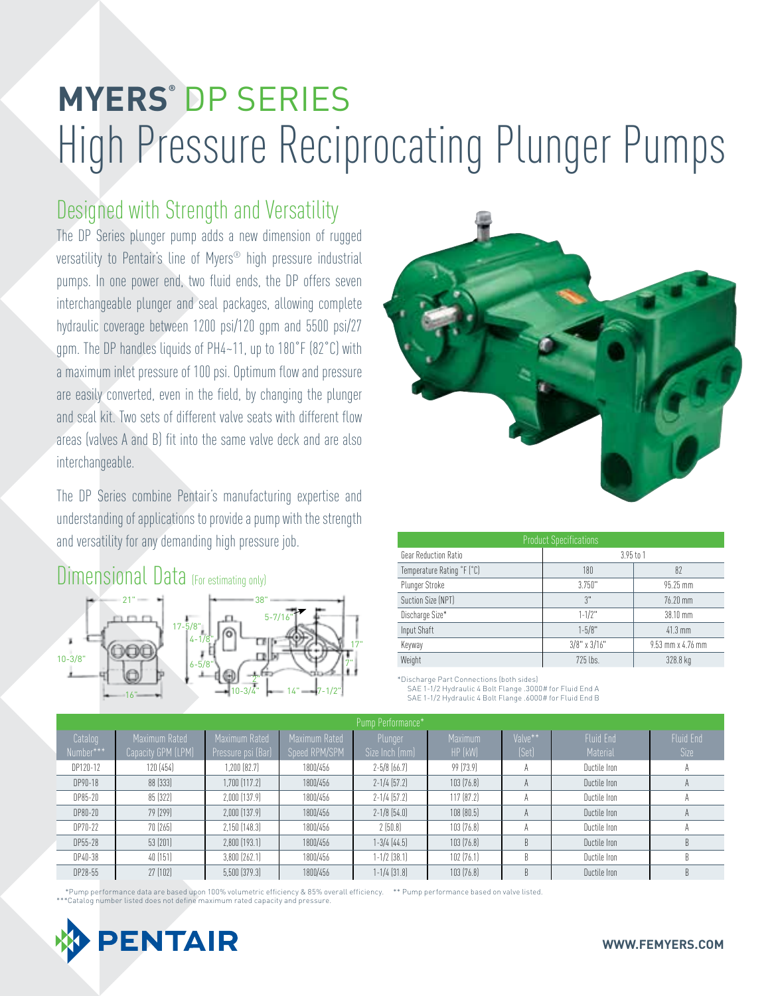# **MYERS®** DP SERIES High Pressure Reciprocating Plunger Pumps

## Designed with Strength and Versatility

The DP Series plunger pump adds a new dimension of rugged versatility to Pentair's line of Myers® high pressure industrial pumps. In one power end, two fluid ends, the DP offers seven interchangeable plunger and seal packages, allowing complete hydraulic coverage between 1200 psi/120 gpm and 5500 psi/27 gpm. The DP handles liquids of PH4~11, up to 180˚F (82˚C) with a maximum inlet pressure of 100 psi. Optimum flow and pressure are easily converted, even in the field, by changing the plunger and seal kit. Two sets of different valve seats with different flow areas (valves A and B) fit into the same valve deck and are also interchangeable.

The DP Series combine Pentair's manufacturing expertise and understanding of applications to provide a pump with the strength and versatility for any demanding high pressure job.

### Dimensional Data (For estimating only)





| <b>Product Specifications</b> |                    |                   |  |  |  |  |  |  |  |  |
|-------------------------------|--------------------|-------------------|--|--|--|--|--|--|--|--|
| Gear Reduction Ratio          | $3.95$ to 1        |                   |  |  |  |  |  |  |  |  |
| Temperature Rating °F (°C)    | 180                | 82                |  |  |  |  |  |  |  |  |
| Plunger Stroke                | 3.750"             | 95.25 mm          |  |  |  |  |  |  |  |  |
| Suction Size (NPT)            | 3"                 | 76.20 mm          |  |  |  |  |  |  |  |  |
| Discharge Size*               | $1 - 1/2$ "        | 38.10 mm          |  |  |  |  |  |  |  |  |
| Input Shaft                   | $1 - 5/8"$         | $41.3$ mm         |  |  |  |  |  |  |  |  |
| Keyway                        | $3/8$ " x $3/16$ " | 9.53 mm x 4.76 mm |  |  |  |  |  |  |  |  |
| Weight                        | 725 lbs.           | 328.8 kg          |  |  |  |  |  |  |  |  |

\*Discharge Part Connections (both sides) SAE 1-1/2 Hydraulic 4 Bolt Flange .3000# for Fluid End A SAE 1-1/2 Hydraulic 4 Bolt Flange .6000# for Fluid End B

| Pump Performance*    |                                     |                                     |                                |                           |                    |                  |                              |                          |  |  |  |
|----------------------|-------------------------------------|-------------------------------------|--------------------------------|---------------------------|--------------------|------------------|------------------------------|--------------------------|--|--|--|
| Catalog<br>Number*** | Maximum Rated<br>Capacity GPM (LPM) | Maximum Rated<br>Pressure psi (Bar) | Maximum Rated<br>Speed RPM/SPM | Plunger<br>Size Inch (mm) | Maximum<br>HP (kW) | Valve**<br>(Set) | <b>Fluid End</b><br>Material | <b>Fluid End</b><br>Size |  |  |  |
| DP120-12             | 120 (454)                           | $1,200$ $(82.7)$                    | 1800/456                       | $2 - 5/8$ (66.7)          | 99 (73.9)          | A                | Ductile Iron                 |                          |  |  |  |
| DP90-18              | 88 (333)                            | 1,700 (117.2)                       | 1800/456                       | $2 - 1/4$ (57.2)          | 103(76.8)          | $\overline{A}$   | Ductile Iron                 | $\mathsf{H}$             |  |  |  |
| DP85-20              | 85 (322)                            | $2.000$ $[137.9]$                   | 1800/456                       | $2 - 1/4$ (57.2)          | 117(87.2)          | $\mathcal{A}$    | Ductile Iron                 |                          |  |  |  |
| DP80-20              | 79 (299)                            | $2,000$ $(137.9)$                   | 1800/456                       | $2 - 1/8$ (54.0)          | 108(80.5)          | A                | Ductile Iron                 |                          |  |  |  |
| DP70-22              | 70 (265)                            | $2,150$ $(148.3)$                   | 1800/456                       | 2(50.8)                   | 103(76.8)          |                  | Ductile Iron                 |                          |  |  |  |
| DP55-28              | 53 (201)                            | $2.800$ $(193.1)$                   | 1800/456                       | $1 - 3/4$ $(44.5)$        | 103(76.8)          | B                | Ductile Iron                 | B                        |  |  |  |
| DP40-38              | 40(151)                             | $3,800$ $(262.1)$                   | 1800/456                       | $1 - 1/2$ $(38.1)$        | 102(76.1)          | B                | Ductile Iron                 | B                        |  |  |  |
| DP28-55              | 27 [102]                            | $5,500$ $(379.3)$                   | 1800/456                       | 1-1/4 (31.8)              | 103(76.8)          | B                | Ductile Iron                 | B                        |  |  |  |

\* Pump performance data are based upon 100% volumetric efficiency & 85% overall efficiency. \*\* Pump performance based on valve listed. \*\*\* Catalog number listed does not define maximum rated capacity and pressure.